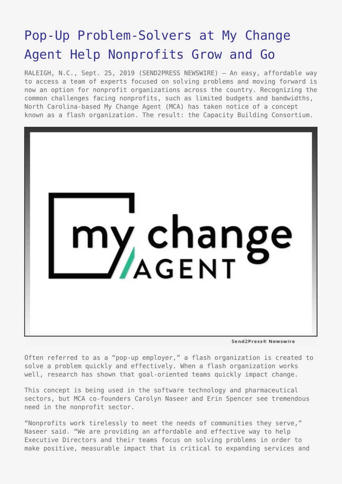## [Pop-Up Problem-Solvers at My Change](https://www.send2press.com/wire/pop-up-problem-solvers-at-my-change-agent-help-nonprofits-grow-and-go/) [Agent Help Nonprofits Grow and Go](https://www.send2press.com/wire/pop-up-problem-solvers-at-my-change-agent-help-nonprofits-grow-and-go/)

RALEIGH, N.C., Sept. 25, 2019 (SEND2PRESS NEWSWIRE) — An easy, affordable way to access a team of experts focused on solving problems and moving forward is now an option for nonprofit organizations across the country. Recognizing the common challenges facing nonprofits, such as limited budgets and bandwidths, North Carolina-based My Change Agent (MCA) has taken notice of a concept known as a flash organization. The result: the Capacity Building Consortium.



Send2Press® Newswire

Often referred to as a "pop-up employer," a flash organization is created to solve a problem quickly and effectively. When a flash organization works well, research has shown that goal-oriented teams quickly impact change.

This concept is being used in the software technology and pharmaceutical sectors, but MCA co-founders Carolyn Naseer and Erin Spencer see tremendous need in the nonprofit sector.

"Nonprofits work tirelessly to meet the needs of communities they serve," Naseer said. "We are providing an affordable and effective way to help Executive Directors and their teams focus on solving problems in order to make positive, measurable impact that is critical to expanding services and